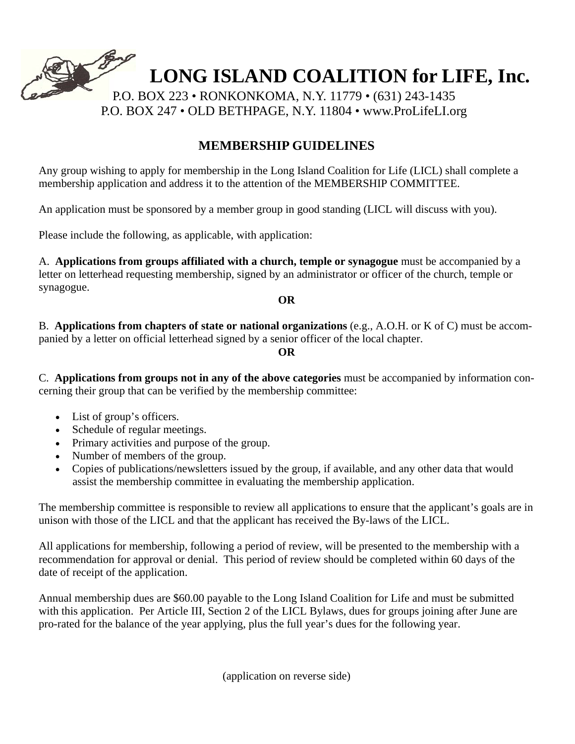

## **MEMBERSHIP GUIDELINES**

Any group wishing to apply for membership in the Long Island Coalition for Life (LICL) shall complete a membership application and address it to the attention of the MEMBERSHIP COMMITTEE.

An application must be sponsored by a member group in good standing (LICL will discuss with you).

Please include the following, as applicable, with application:

A. **Applications from groups affiliated with a church, temple or synagogue** must be accompanied by a letter on letterhead requesting membership, signed by an administrator or officer of the church, temple or synagogue.

**OR** 

B. **Applications from chapters of state or national organizations** (e.g., A.O.H. or K of C) must be accompanied by a letter on official letterhead signed by a senior officer of the local chapter.

## **OR**

C. **Applications from groups not in any of the above categories** must be accompanied by information concerning their group that can be verified by the membership committee:

- List of group's officers.
- Schedule of regular meetings.
- Primary activities and purpose of the group.
- Number of members of the group.
- Copies of publications/newsletters issued by the group, if available, and any other data that would assist the membership committee in evaluating the membership application.

The membership committee is responsible to review all applications to ensure that the applicant's goals are in unison with those of the LICL and that the applicant has received the By-laws of the LICL.

All applications for membership, following a period of review, will be presented to the membership with a recommendation for approval or denial. This period of review should be completed within 60 days of the date of receipt of the application.

Annual membership dues are \$60.00 payable to the Long Island Coalition for Life and must be submitted with this application. Per Article III, Section 2 of the LICL Bylaws, dues for groups joining after June are pro-rated for the balance of the year applying, plus the full year's dues for the following year.

(application on reverse side)